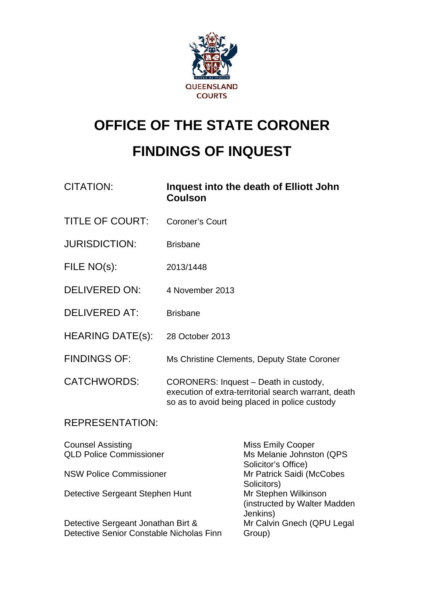

# **OFFICE OF THE STATE CORONER FINDINGS OF INQUEST**

| <b>CITATION:</b>        | Inquest into the death of Elliott John<br><b>Coulson</b>                                                                                       |
|-------------------------|------------------------------------------------------------------------------------------------------------------------------------------------|
| <b>TITLE OF COURT:</b>  | <b>Coroner's Court</b>                                                                                                                         |
| <b>JURISDICTION:</b>    | <b>Brisbane</b>                                                                                                                                |
| FILE NO(s):             | 2013/1448                                                                                                                                      |
| <b>DELIVERED ON:</b>    | 4 November 2013                                                                                                                                |
| <b>DELIVERED AT:</b>    | <b>Brisbane</b>                                                                                                                                |
| <b>HEARING DATE(s):</b> | 28 October 2013                                                                                                                                |
| <b>FINDINGS OF:</b>     | Ms Christine Clements, Deputy State Coroner                                                                                                    |
| <b>CATCHWORDS:</b>      | CORONERS: Inquest - Death in custody,<br>execution of extra-territorial search warrant, death<br>so as to avoid being placed in police custody |
| <b>REPRESENTATION:</b>  |                                                                                                                                                |
| Councal Accicting       | Micc Emily Cooper                                                                                                                              |

| <b>Counsel Assisting</b>                 | <b>Miss Emily Cooper</b>      |
|------------------------------------------|-------------------------------|
| <b>QLD Police Commissioner</b>           | Ms Melanie Johnston (QPS      |
|                                          | Solicitor's Office)           |
| <b>NSW Police Commissioner</b>           | Mr Patrick Saidi (McCobes     |
|                                          | Solicitors)                   |
| Detective Sergeant Stephen Hunt          | Mr Stephen Wilkinson          |
|                                          | (instructed by Walter Madden) |
|                                          | Jenkins)                      |
| Detective Sergeant Jonathan Birt &       | Mr Calvin Gnech (QPU Legal    |
| Detective Senior Constable Nicholas Finn | Group)                        |
|                                          |                               |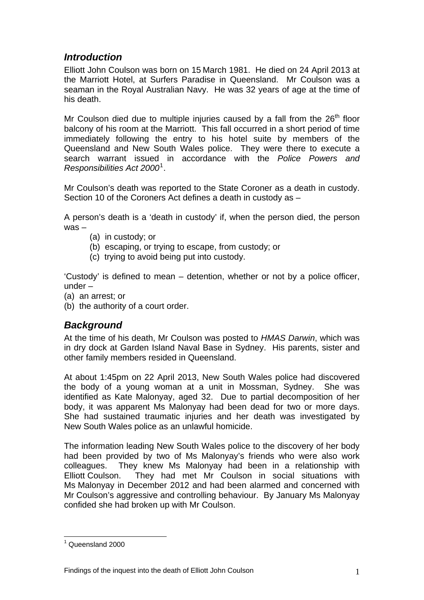## *Introduction*

Elliott John Coulson was born on 15 March 1981. He died on 24 April 2013 at the Marriott Hotel, at Surfers Paradise in Queensland. Mr Coulson was a seaman in the Royal Australian Navy. He was 32 years of age at the time of his death.

Mr Coulson died due to multiple injuries caused by a fall from the  $26<sup>th</sup>$  floor balcony of his room at the Marriott. This fall occurred in a short period of time immediately following the entry to his hotel suite by members of the Queensland and New South Wales police. They were there to execute a search warrant issued in accordance with the *Police Powers and Responsibilities Act 2000*[1](#page-1-0) .

Mr Coulson's death was reported to the State Coroner as a death in custody. Section 10 of the Coroners Act defines a death in custody as –

A person's death is a 'death in custody' if, when the person died, the person was –

- (a) in custody; or
- (b) escaping, or trying to escape, from custody; or
- (c) trying to avoid being put into custody.

'Custody' is defined to mean – detention, whether or not by a police officer, under –

- (a) an arrest; or
- (b) the authority of a court order.

### *Background*

At the time of his death, Mr Coulson was posted to *HMAS Darwin*, which was in dry dock at Garden Island Naval Base in Sydney. His parents, sister and other family members resided in Queensland.

At about 1:45pm on 22 April 2013, New South Wales police had discovered the body of a young woman at a unit in Mossman, Sydney. She was identified as Kate Malonyay, aged 32. Due to partial decomposition of her body, it was apparent Ms Malonyay had been dead for two or more days. She had sustained traumatic injuries and her death was investigated by New South Wales police as an unlawful homicide.

The information leading New South Wales police to the discovery of her body had been provided by two of Ms Malonyay's friends who were also work colleagues. They knew Ms Malonyay had been in a relationship with Elliott Coulson. They had met Mr Coulson in social situations with Ms Malonyay in December 2012 and had been alarmed and concerned with Mr Coulson's aggressive and controlling behaviour. By January Ms Malonyay confided she had broken up with Mr Coulson.

<span id="page-1-0"></span> 1 Queensland 2000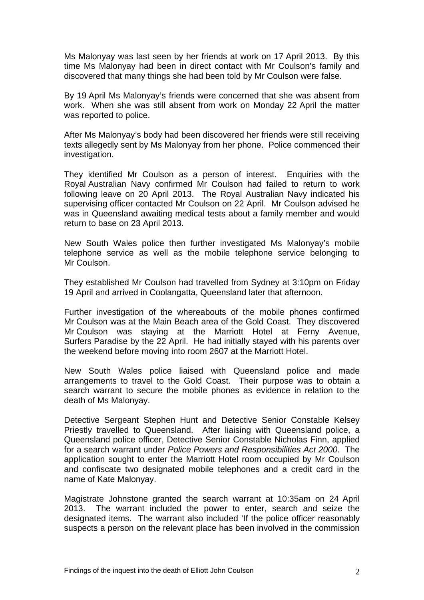Ms Malonyay was last seen by her friends at work on 17 April 2013. By this time Ms Malonyay had been in direct contact with Mr Coulson's family and discovered that many things she had been told by Mr Coulson were false.

By 19 April Ms Malonyay's friends were concerned that she was absent from work. When she was still absent from work on Monday 22 April the matter was reported to police.

After Ms Malonyay's body had been discovered her friends were still receiving texts allegedly sent by Ms Malonyay from her phone. Police commenced their investigation.

They identified Mr Coulson as a person of interest. Enquiries with the Royal Australian Navy confirmed Mr Coulson had failed to return to work following leave on 20 April 2013. The Royal Australian Navy indicated his supervising officer contacted Mr Coulson on 22 April. Mr Coulson advised he was in Queensland awaiting medical tests about a family member and would return to base on 23 April 2013.

New South Wales police then further investigated Ms Malonyay's mobile telephone service as well as the mobile telephone service belonging to Mr Coulson.

They established Mr Coulson had travelled from Sydney at 3:10pm on Friday 19 April and arrived in Coolangatta, Queensland later that afternoon.

Further investigation of the whereabouts of the mobile phones confirmed Mr Coulson was at the Main Beach area of the Gold Coast. They discovered Mr Coulson was staying at the Marriott Hotel at Ferny Avenue, Surfers Paradise by the 22 April. He had initially stayed with his parents over the weekend before moving into room 2607 at the Marriott Hotel.

New South Wales police liaised with Queensland police and made arrangements to travel to the Gold Coast. Their purpose was to obtain a search warrant to secure the mobile phones as evidence in relation to the death of Ms Malonyay.

Detective Sergeant Stephen Hunt and Detective Senior Constable Kelsey Priestly travelled to Queensland. After liaising with Queensland police, a Queensland police officer, Detective Senior Constable Nicholas Finn, applied for a search warrant under *Police Powers and Responsibilities Act 2000*. The application sought to enter the Marriott Hotel room occupied by Mr Coulson and confiscate two designated mobile telephones and a credit card in the name of Kate Malonyay.

Magistrate Johnstone granted the search warrant at 10:35am on 24 April 2013. The warrant included the power to enter, search and seize the designated items. The warrant also included 'If the police officer reasonably suspects a person on the relevant place has been involved in the commission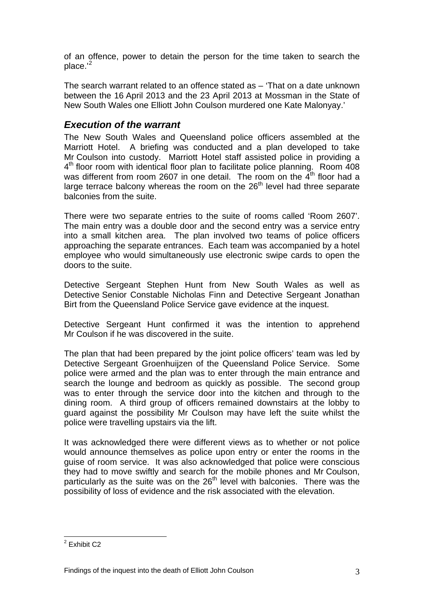of an offence, power to detain the person for the time taken to search the  $place.'^2$  $place.'^2$ 

The search warrant related to an offence stated as – 'That on a date unknown between the 16 April 2013 and the 23 April 2013 at Mossman in the State of New South Wales one Elliott John Coulson murdered one Kate Malonyay.'

#### *Execution of the warrant*

The New South Wales and Queensland police officers assembled at the Marriott Hotel. A briefing was conducted and a plan developed to take Mr Coulson into custody. Marriott Hotel staff assisted police in providing a 4<sup>th</sup> floor room with identical floor plan to facilitate police planning. Room 408 was different from room 2607 in one detail. The room on the  $4<sup>th</sup>$  floor had a large terrace balcony whereas the room on the 26<sup>th</sup> level had three separate balconies from the suite.

There were two separate entries to the suite of rooms called 'Room 2607'. The main entry was a double door and the second entry was a service entry into a small kitchen area. The plan involved two teams of police officers approaching the separate entrances. Each team was accompanied by a hotel employee who would simultaneously use electronic swipe cards to open the doors to the suite.

Detective Sergeant Stephen Hunt from New South Wales as well as Detective Senior Constable Nicholas Finn and Detective Sergeant Jonathan Birt from the Queensland Police Service gave evidence at the inquest.

Detective Sergeant Hunt confirmed it was the intention to apprehend Mr Coulson if he was discovered in the suite.

The plan that had been prepared by the joint police officers' team was led by Detective Sergeant Groenhuijzen of the Queensland Police Service. Some police were armed and the plan was to enter through the main entrance and search the lounge and bedroom as quickly as possible. The second group was to enter through the service door into the kitchen and through to the dining room. A third group of officers remained downstairs at the lobby to guard against the possibility Mr Coulson may have left the suite whilst the police were travelling upstairs via the lift.

It was acknowledged there were different views as to whether or not police would announce themselves as police upon entry or enter the rooms in the guise of room service. It was also acknowledged that police were conscious they had to move swiftly and search for the mobile phones and Mr Coulson, particularly as the suite was on the  $26<sup>th</sup>$  level with balconies. There was the possibility of loss of evidence and the risk associated with the elevation.

 2 Exhibit C2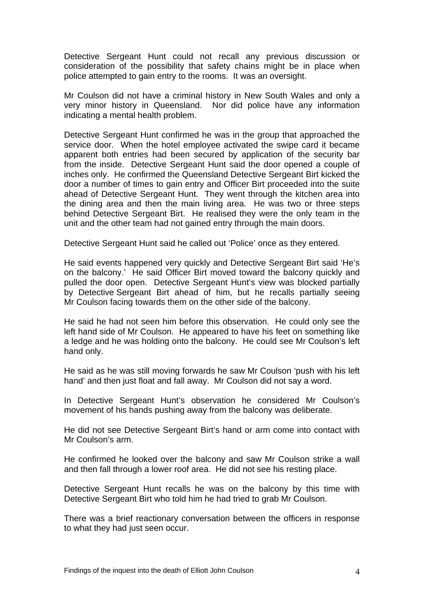Detective Sergeant Hunt could not recall any previous discussion or consideration of the possibility that safety chains might be in place when police attempted to gain entry to the rooms. It was an oversight.

Mr Coulson did not have a criminal history in New South Wales and only a very minor history in Queensland. Nor did police have any information indicating a mental health problem.

Detective Sergeant Hunt confirmed he was in the group that approached the service door. When the hotel employee activated the swipe card it became apparent both entries had been secured by application of the security bar from the inside. Detective Sergeant Hunt said the door opened a couple of inches only. He confirmed the Queensland Detective Sergeant Birt kicked the door a number of times to gain entry and Officer Birt proceeded into the suite ahead of Detective Sergeant Hunt. They went through the kitchen area into the dining area and then the main living area. He was two or three steps behind Detective Sergeant Birt. He realised they were the only team in the unit and the other team had not gained entry through the main doors.

Detective Sergeant Hunt said he called out 'Police' once as they entered.

He said events happened very quickly and Detective Sergeant Birt said 'He's on the balcony.' He said Officer Birt moved toward the balcony quickly and pulled the door open. Detective Sergeant Hunt's view was blocked partially by Detective Sergeant Birt ahead of him, but he recalls partially seeing Mr Coulson facing towards them on the other side of the balcony.

He said he had not seen him before this observation. He could only see the left hand side of Mr Coulson. He appeared to have his feet on something like a ledge and he was holding onto the balcony. He could see Mr Coulson's left hand only.

He said as he was still moving forwards he saw Mr Coulson 'push with his left hand' and then just float and fall away. Mr Coulson did not say a word.

In Detective Sergeant Hunt's observation he considered Mr Coulson's movement of his hands pushing away from the balcony was deliberate.

He did not see Detective Sergeant Birt's hand or arm come into contact with Mr Coulson's arm.

He confirmed he looked over the balcony and saw Mr Coulson strike a wall and then fall through a lower roof area. He did not see his resting place.

Detective Sergeant Hunt recalls he was on the balcony by this time with Detective Sergeant Birt who told him he had tried to grab Mr Coulson.

There was a brief reactionary conversation between the officers in response to what they had just seen occur.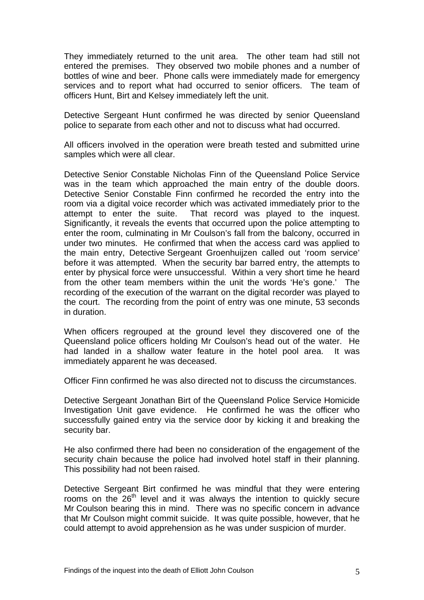They immediately returned to the unit area. The other team had still not entered the premises. They observed two mobile phones and a number of bottles of wine and beer. Phone calls were immediately made for emergency services and to report what had occurred to senior officers. The team of officers Hunt, Birt and Kelsey immediately left the unit.

Detective Sergeant Hunt confirmed he was directed by senior Queensland police to separate from each other and not to discuss what had occurred.

All officers involved in the operation were breath tested and submitted urine samples which were all clear.

Detective Senior Constable Nicholas Finn of the Queensland Police Service was in the team which approached the main entry of the double doors. Detective Senior Constable Finn confirmed he recorded the entry into the room via a digital voice recorder which was activated immediately prior to the attempt to enter the suite. That record was played to the inquest. Significantly, it reveals the events that occurred upon the police attempting to enter the room, culminating in Mr Coulson's fall from the balcony, occurred in under two minutes. He confirmed that when the access card was applied to the main entry, Detective Sergeant Groenhuijzen called out 'room service' before it was attempted. When the security bar barred entry, the attempts to enter by physical force were unsuccessful. Within a very short time he heard from the other team members within the unit the words 'He's gone.' The recording of the execution of the warrant on the digital recorder was played to the court. The recording from the point of entry was one minute, 53 seconds in duration.

When officers regrouped at the ground level they discovered one of the Queensland police officers holding Mr Coulson's head out of the water. He had landed in a shallow water feature in the hotel pool area. It was immediately apparent he was deceased.

Officer Finn confirmed he was also directed not to discuss the circumstances.

Detective Sergeant Jonathan Birt of the Queensland Police Service Homicide Investigation Unit gave evidence. He confirmed he was the officer who successfully gained entry via the service door by kicking it and breaking the security bar.

He also confirmed there had been no consideration of the engagement of the security chain because the police had involved hotel staff in their planning. This possibility had not been raised.

Detective Sergeant Birt confirmed he was mindful that they were entering rooms on the  $26<sup>th</sup>$  level and it was always the intention to quickly secure Mr Coulson bearing this in mind. There was no specific concern in advance that Mr Coulson might commit suicide. It was quite possible, however, that he could attempt to avoid apprehension as he was under suspicion of murder.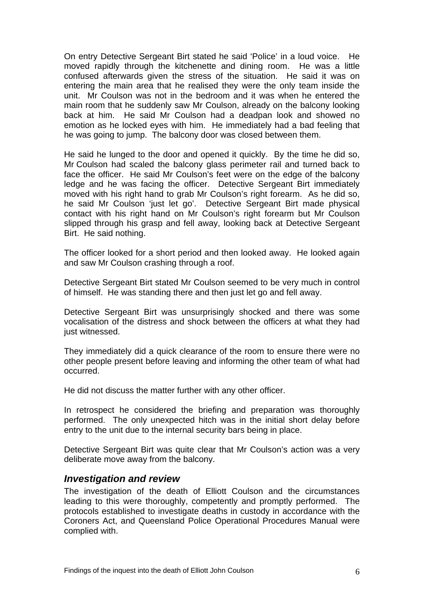On entry Detective Sergeant Birt stated he said 'Police' in a loud voice. He moved rapidly through the kitchenette and dining room. He was a little confused afterwards given the stress of the situation. He said it was on entering the main area that he realised they were the only team inside the unit. Mr Coulson was not in the bedroom and it was when he entered the main room that he suddenly saw Mr Coulson, already on the balcony looking back at him. He said Mr Coulson had a deadpan look and showed no emotion as he locked eyes with him. He immediately had a bad feeling that he was going to jump. The balcony door was closed between them.

He said he lunged to the door and opened it quickly. By the time he did so, Mr Coulson had scaled the balcony glass perimeter rail and turned back to face the officer. He said Mr Coulson's feet were on the edge of the balcony ledge and he was facing the officer. Detective Sergeant Birt immediately moved with his right hand to grab Mr Coulson's right forearm. As he did so, he said Mr Coulson 'just let go'. Detective Sergeant Birt made physical contact with his right hand on Mr Coulson's right forearm but Mr Coulson slipped through his grasp and fell away, looking back at Detective Sergeant Birt. He said nothing.

The officer looked for a short period and then looked away. He looked again and saw Mr Coulson crashing through a roof.

Detective Sergeant Birt stated Mr Coulson seemed to be very much in control of himself. He was standing there and then just let go and fell away.

Detective Sergeant Birt was unsurprisingly shocked and there was some vocalisation of the distress and shock between the officers at what they had just witnessed.

They immediately did a quick clearance of the room to ensure there were no other people present before leaving and informing the other team of what had occurred.

He did not discuss the matter further with any other officer.

In retrospect he considered the briefing and preparation was thoroughly performed. The only unexpected hitch was in the initial short delay before entry to the unit due to the internal security bars being in place.

Detective Sergeant Birt was quite clear that Mr Coulson's action was a very deliberate move away from the balcony.

#### *Investigation and review*

The investigation of the death of Elliott Coulson and the circumstances leading to this were thoroughly, competently and promptly performed. The protocols established to investigate deaths in custody in accordance with the Coroners Act, and Queensland Police Operational Procedures Manual were complied with.